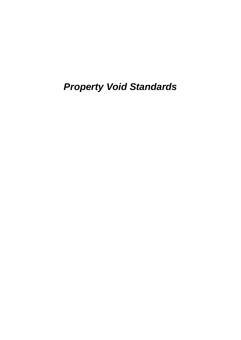*Property Void Standards*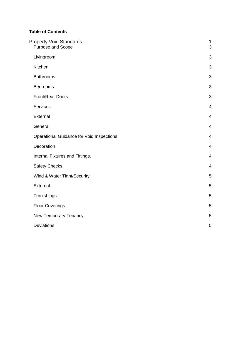# **Table of Contents**

| <b>Property Void Standards</b><br>Purpose and Scope | $\mathbf 1$<br>3 |
|-----------------------------------------------------|------------------|
| Livingroom                                          | 3                |
| Kitchen                                             | 3                |
| <b>Bathrooms</b>                                    | 3                |
| <b>Bedrooms</b>                                     | 3                |
| Front/Rear Doors                                    | 3                |
| <b>Services</b>                                     | $\overline{4}$   |
| External                                            | $\overline{4}$   |
| General                                             | $\overline{4}$   |
| <b>Operational Guidance for Void Inspections</b>    | $\overline{4}$   |
| Decoration                                          | $\overline{4}$   |
| Internal Fixtures and Fittings.                     | 4                |
| <b>Safety Checks</b>                                | $\overline{4}$   |
| Wind & Water Tight/Security                         | 5                |
| External.                                           | 5                |
| Furnishings.                                        | 5                |
| <b>Floor Coverings</b>                              | 5                |
| New Temporary Tenancy.                              | 5                |
| <b>Deviations</b>                                   | 5                |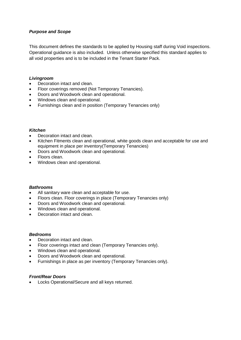## *Purpose and Scope*

This document defines the standards to be applied by Housing staff during Void inspections. Operational guidance is also included. Unless otherwise specified this standard applies to all void properties and is to be included in the Tenant Starter Pack.

#### *Livingroom*

- Decoration intact and clean.
- Floor coverings removed (Not Temporary Tenancies).
- Doors and Woodwork clean and operational.
- Windows clean and operational.
- Furnishings clean and in position (Temporary Tenancies only)

### *Kitchen*

- Decoration intact and clean.
- Kitchen Fitments clean and operational, white goods clean and acceptable for use and equipment in place per inventory(Temporary Tenancies)
- Doors and Woodwork clean and operational.
- Floors clean.
- Windows clean and operational.

### *Bathrooms*

- All sanitary ware clean and acceptable for use.
- Floors clean. Floor coverings in place (Temporary Tenancies only)
- Doors and Woodwork clean and operational.
- Windows clean and operational.
- Decoration intact and clean.

#### *Bedrooms*

- Decoration intact and clean.
- Floor coverings intact and clean (Temporary Tenancies only).
- Windows clean and operational.
- Doors and Woodwork clean and operational.
- Furnishings in place as per inventory (Temporary Tenancies only).

## *Front/Rear Doors*

• Locks Operational/Secure and all keys returned.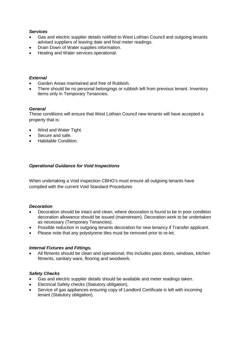## *Services*

- Gas and electric supplier details notified to West Lothian Council and outgoing tenants advised suppliers of leaving date and final meter readings.
- Drain Down of Water supplies information.
- Heating and Water services operational.

### *External*

- Garden Areas maintained and free of Rubbish.
- There should be no personal belongings or rubbish left from previous tenant. Inventory items only in Temporary Tenancies.

## *General*

These conditions will ensure that West Lothian Council new tenants will have accepted a property that is:

- Wind and Water Tight.
- Secure and safe.
- Habitable Condition.

### *Operational Guidance for Void Inspections*

When undertaking a Void inspection CBHO's must ensure all outgoing tenants have complied with the current Void Standard Procedures

### *Decoration*

- Decoration should be intact and clean, where decoration is found to be in poor condition decoration allowance should be issued (mainstream). Decoration work to be undertaken as necessary (Temporary Tenancies).
- Possible reduction in outgoing tenants decoration for new tenancy if Transfer applicant.
- Please note that any polystyrene tiles must be removed prior to re-let.

### *Internal Fixtures and Fittings.*

• All fitments should be clean and operational; this includes pass doors, windows, kitchen fitments, sanitary ware, flooring and woodwork.

### *Safety Checks*

- Gas and electric supplier details should be available and meter readings taken.
- Electrical Safety checks (Statutory obligation),
- Service of gas appliances ensuring copy of Landlord Certificate is left with incoming tenant (Statutory obligation).